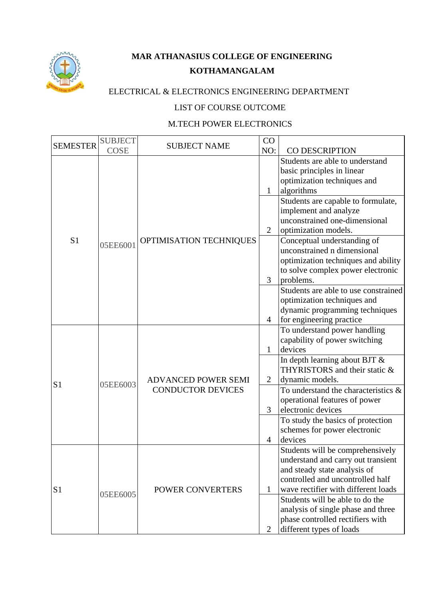

## **MAR ATHANASIUS COLLEGE OF ENGINEERING KOTHAMANGALAM**

## ELECTRICAL & ELECTRONICS ENGINEERING DEPARTMENT

## LIST OF COURSE OUTCOME

## M.TECH POWER ELECTRONICS

| <b>SEMESTER</b> | <b>SUBJECT</b> | <b>SUBJECT NAME</b>                                    | CO             |                                                                |
|-----------------|----------------|--------------------------------------------------------|----------------|----------------------------------------------------------------|
|                 | <b>COSE</b>    |                                                        | NO:            | CO DESCRIPTION                                                 |
|                 |                |                                                        |                | Students are able to understand                                |
|                 |                |                                                        |                | basic principles in linear                                     |
|                 |                |                                                        |                | optimization techniques and<br>algorithms                      |
|                 |                |                                                        | 1              |                                                                |
|                 |                |                                                        |                | Students are capable to formulate,<br>implement and analyze    |
|                 |                |                                                        |                | unconstrained one-dimensional                                  |
|                 |                |                                                        | $\overline{2}$ | optimization models.                                           |
| S <sub>1</sub>  |                | OPTIMISATION TECHNIQUES                                |                | Conceptual understanding of                                    |
|                 | 05EE6001       |                                                        |                | unconstrained n dimensional                                    |
|                 |                |                                                        |                | optimization techniques and ability                            |
|                 |                |                                                        |                | to solve complex power electronic                              |
|                 |                |                                                        | 3              | problems.                                                      |
|                 |                |                                                        |                | Students are able to use constrained                           |
|                 |                |                                                        |                | optimization techniques and                                    |
|                 |                |                                                        |                | dynamic programming techniques                                 |
|                 |                |                                                        | 4              | for engineering practice                                       |
|                 | 05EE6003       | <b>ADVANCED POWER SEMI</b><br><b>CONDUCTOR DEVICES</b> |                | To understand power handling                                   |
|                 |                |                                                        |                | capability of power switching                                  |
|                 |                |                                                        | $\mathbf{1}$   | devices                                                        |
|                 |                |                                                        |                | In depth learning about BJT &<br>THYRISTORS and their static & |
|                 |                |                                                        | $\overline{2}$ | dynamic models.                                                |
| S <sub>1</sub>  |                |                                                        |                | To understand the characteristics &                            |
|                 |                |                                                        |                | operational features of power                                  |
|                 |                |                                                        | 3              | electronic devices                                             |
|                 |                |                                                        |                | To study the basics of protection                              |
|                 |                |                                                        |                | schemes for power electronic                                   |
|                 |                |                                                        | $\overline{4}$ | devices                                                        |
|                 | 05EE6005       |                                                        |                | Students will be comprehensively                               |
| S <sub>1</sub>  |                | <b>POWER CONVERTERS</b>                                |                | understand and carry out transient                             |
|                 |                |                                                        |                | and steady state analysis of                                   |
|                 |                |                                                        |                | controlled and uncontrolled half                               |
|                 |                |                                                        | 1              | wave rectifier with different loads                            |
|                 |                |                                                        |                | Students will be able to do the                                |
|                 |                |                                                        |                | analysis of single phase and three                             |
|                 |                |                                                        |                | phase controlled rectifiers with                               |
|                 |                |                                                        | $\overline{2}$ | different types of loads                                       |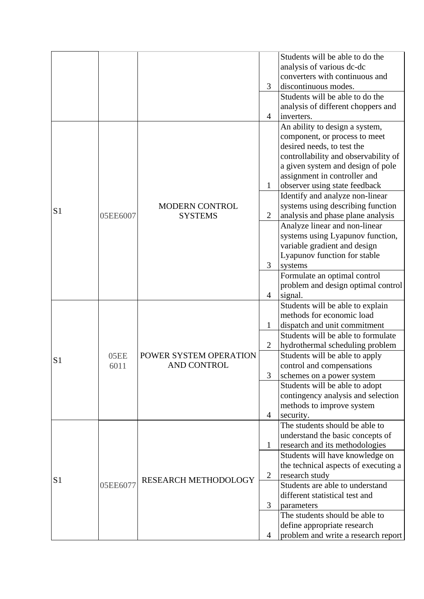|                |              |                                       |                | Students will be able to do the      |
|----------------|--------------|---------------------------------------|----------------|--------------------------------------|
|                |              |                                       |                | analysis of various dc-dc            |
|                |              |                                       |                | converters with continuous and       |
|                |              |                                       | 3              | discontinuous modes.                 |
|                |              |                                       |                |                                      |
|                |              |                                       |                | Students will be able to do the      |
|                |              |                                       |                | analysis of different choppers and   |
|                |              |                                       | 4              | inverters.                           |
|                |              |                                       |                | An ability to design a system,       |
|                |              |                                       |                | component, or process to meet        |
|                |              |                                       |                | desired needs, to test the           |
|                |              |                                       |                | controllability and observability of |
|                |              |                                       |                | a given system and design of pole    |
|                |              |                                       |                | assignment in controller and         |
|                |              |                                       | $\mathbf{1}$   | observer using state feedback        |
|                |              |                                       |                | Identify and analyze non-linear      |
|                |              | <b>MODERN CONTROL</b>                 |                | systems using describing function    |
| S <sub>1</sub> | 05EE6007     | <b>SYSTEMS</b>                        | $\overline{2}$ | analysis and phase plane analysis    |
|                |              |                                       |                | Analyze linear and non-linear        |
|                |              |                                       |                | systems using Lyapunov function,     |
|                |              |                                       |                |                                      |
|                |              |                                       |                | variable gradient and design         |
|                |              |                                       |                | Lyapunov function for stable         |
|                |              |                                       | 3              | systems                              |
|                |              |                                       |                | Formulate an optimal control         |
|                |              |                                       |                | problem and design optimal control   |
|                |              |                                       | 4              | signal.                              |
|                | 05EE<br>6011 | POWER SYSTEM OPERATION<br>AND CONTROL |                | Students will be able to explain     |
|                |              |                                       |                | methods for economic load            |
|                |              |                                       | 1              | dispatch and unit commitment         |
|                |              |                                       |                | Students will be able to formulate   |
|                |              |                                       | $\overline{2}$ | hydrothermal scheduling problem      |
|                |              |                                       |                | Students will be able to apply       |
| S <sub>1</sub> |              |                                       |                | control and compensations            |
|                |              |                                       | 3              | schemes on a power system            |
|                |              |                                       |                | Students will be able to adopt       |
|                |              |                                       |                | contingency analysis and selection   |
|                |              |                                       |                | methods to improve system            |
|                |              |                                       | 4              | security.                            |
|                |              |                                       |                | The students should be able to       |
| S1             | 05EE6077     | RESEARCH METHODOLOGY                  |                | understand the basic concepts of     |
|                |              |                                       |                |                                      |
|                |              |                                       | 1              | research and its methodologies       |
|                |              |                                       |                | Students will have knowledge on      |
|                |              |                                       |                | the technical aspects of executing a |
|                |              |                                       | $\overline{2}$ | research study                       |
|                |              |                                       |                | Students are able to understand      |
|                |              |                                       |                | different statistical test and       |
|                |              |                                       | 3              | parameters                           |
|                |              |                                       |                | The students should be able to       |
|                |              |                                       |                | define appropriate research          |
|                |              |                                       | 4              | problem and write a research report  |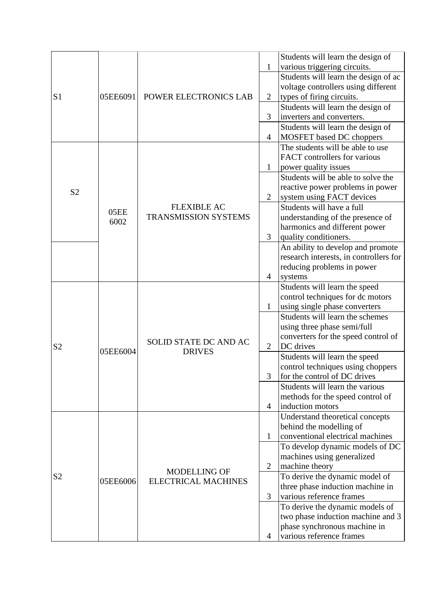|                |          |                                                   |                | Students will learn the design of                          |
|----------------|----------|---------------------------------------------------|----------------|------------------------------------------------------------|
|                |          |                                                   | $\mathbf{1}$   | various triggering circuits.                               |
|                |          |                                                   |                | Students will learn the design of ac                       |
|                |          |                                                   |                | voltage controllers using different                        |
| S <sub>1</sub> | 05EE6091 | POWER ELECTRONICS LAB                             | $\overline{2}$ | types of firing circuits.                                  |
|                |          |                                                   |                | Students will learn the design of                          |
|                |          |                                                   | 3              | inverters and converters.                                  |
|                |          |                                                   |                | Students will learn the design of                          |
|                |          |                                                   | 4              | <b>MOSFET</b> based DC choppers                            |
|                |          |                                                   |                | The students will be able to use                           |
|                |          |                                                   | $\mathbf{1}$   | FACT controllers for various                               |
|                |          |                                                   |                |                                                            |
|                |          |                                                   |                | power quality issues<br>Students will be able to solve the |
|                |          |                                                   |                |                                                            |
| S <sub>2</sub> |          |                                                   |                | reactive power problems in power                           |
|                |          |                                                   | $\overline{2}$ | system using FACT devices                                  |
|                | 05EE     | <b>FLEXIBLE AC</b><br><b>TRANSMISSION SYSTEMS</b> |                | Students will have a full                                  |
|                | 6002     |                                                   |                | understanding of the presence of                           |
|                |          |                                                   |                | harmonics and different power                              |
|                |          |                                                   | 3              | quality conditioners.                                      |
|                |          |                                                   |                | An ability to develop and promote                          |
|                |          |                                                   |                | research interests, in controllers for                     |
|                |          |                                                   |                | reducing problems in power                                 |
|                |          |                                                   | 4              | systems                                                    |
|                | 05EE6004 | SOLID STATE DC AND AC                             |                | Students will learn the speed                              |
|                |          |                                                   |                | control techniques for dc motors                           |
|                |          |                                                   | $\mathbf{1}$   | using single phase converters                              |
|                |          |                                                   |                | Students will learn the schemes                            |
|                |          |                                                   |                | using three phase semi/full                                |
|                |          |                                                   |                | converters for the speed control of                        |
| S <sub>2</sub> |          | <b>DRIVES</b>                                     | $\overline{2}$ | DC drives                                                  |
|                |          |                                                   |                | Students will learn the speed                              |
|                |          |                                                   |                | control techniques using choppers                          |
|                |          |                                                   | 3              | for the control of DC drives                               |
|                |          |                                                   |                | Students will learn the various                            |
|                |          |                                                   |                | methods for the speed control of                           |
|                |          |                                                   | 4              | induction motors                                           |
| S <sub>2</sub> | 05EE6006 | <b>MODELLING OF</b><br><b>ELECTRICAL MACHINES</b> |                | Understand theoretical concepts                            |
|                |          |                                                   |                | behind the modelling of                                    |
|                |          |                                                   | 1              | conventional electrical machines                           |
|                |          |                                                   |                | To develop dynamic models of DC                            |
|                |          |                                                   |                | machines using generalized                                 |
|                |          |                                                   | $\overline{2}$ | machine theory                                             |
|                |          |                                                   |                | To derive the dynamic model of                             |
|                |          |                                                   |                | three phase induction machine in                           |
|                |          |                                                   | 3              | various reference frames                                   |
|                |          |                                                   |                | To derive the dynamic models of                            |
|                |          |                                                   |                | two phase induction machine and 3                          |
|                |          |                                                   |                | phase synchronous machine in                               |
|                |          |                                                   | 4              | various reference frames                                   |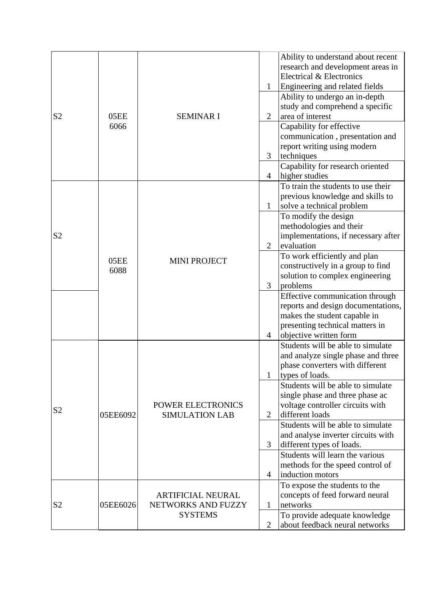|                |              |                                                                  | 1                   | Ability to understand about recent<br>research and development areas in<br>Electrical & Electronics<br>Engineering and related fields                              |
|----------------|--------------|------------------------------------------------------------------|---------------------|--------------------------------------------------------------------------------------------------------------------------------------------------------------------|
| S <sub>2</sub> | 05EE<br>6066 | <b>SEMINAR I</b>                                                 | $\overline{2}$      | Ability to undergo an in-depth<br>study and comprehend a specific<br>area of interest                                                                              |
|                |              |                                                                  |                     | Capability for effective<br>communication, presentation and<br>report writing using modern                                                                         |
|                |              |                                                                  | 3<br>$\overline{4}$ | techniques<br>Capability for research oriented<br>higher studies                                                                                                   |
|                |              |                                                                  | 1                   | To train the students to use their<br>previous knowledge and skills to<br>solve a technical problem                                                                |
| S <sub>2</sub> | 05EE<br>6088 | <b>MINI PROJECT</b>                                              | $\overline{2}$      | To modify the design<br>methodologies and their<br>implementations, if necessary after<br>evaluation                                                               |
| S <sub>2</sub> |              |                                                                  | 3                   | To work efficiently and plan<br>constructively in a group to find<br>solution to complex engineering<br>problems                                                   |
|                |              |                                                                  | 4                   | Effective communication through<br>reports and design documentations,<br>makes the student capable in<br>presenting technical matters in<br>objective written form |
|                |              |                                                                  | 1                   | Students will be able to simulate<br>and analyze single phase and three<br>phase converters with different<br>types of loads.                                      |
|                | 05EE6092     | <b>POWER ELECTRONICS</b><br><b>SIMULATION LAB</b>                | $\overline{2}$      | Students will be able to simulate<br>single phase and three phase ac<br>voltage controller circuits with<br>different loads                                        |
|                |              |                                                                  | 3                   | Students will be able to simulate<br>and analyse inverter circuits with<br>different types of loads.                                                               |
|                |              |                                                                  | 4                   | Students will learn the various<br>methods for the speed control of<br>induction motors                                                                            |
| S <sub>2</sub> | 05EE6026     | <b>ARTIFICIAL NEURAL</b><br>NETWORKS AND FUZZY<br><b>SYSTEMS</b> | 1                   | To expose the students to the<br>concepts of feed forward neural<br>networks                                                                                       |
|                |              |                                                                  | $\overline{2}$      | To provide adequate knowledge<br>about feedback neural networks                                                                                                    |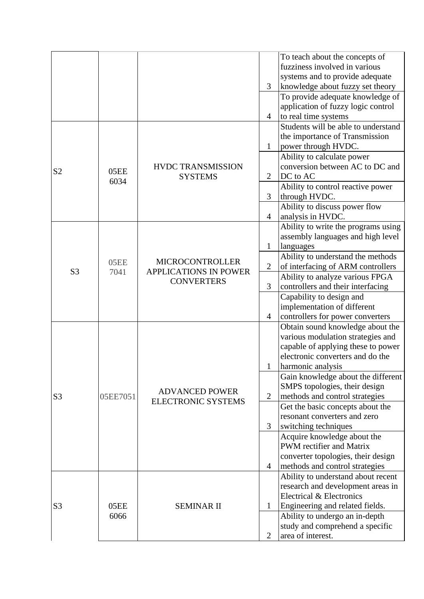|                |              |                                                                             |                | To teach about the concepts of      |
|----------------|--------------|-----------------------------------------------------------------------------|----------------|-------------------------------------|
|                |              |                                                                             |                | fuzziness involved in various       |
|                |              |                                                                             |                | systems and to provide adequate     |
|                |              |                                                                             | 3              | knowledge about fuzzy set theory    |
|                |              |                                                                             |                | To provide adequate knowledge of    |
|                |              |                                                                             |                | application of fuzzy logic control  |
|                |              |                                                                             | 4              | to real time systems                |
|                |              |                                                                             |                | Students will be able to understand |
|                |              |                                                                             |                | the importance of Transmission      |
|                |              |                                                                             | $\mathbf{1}$   | power through HVDC.                 |
|                |              |                                                                             |                | Ability to calculate power          |
|                |              | <b>HVDC TRANSMISSION</b>                                                    |                | conversion between AC to DC and     |
| S <sub>2</sub> | 05EE         | <b>SYSTEMS</b>                                                              | $\overline{2}$ | DC to AC                            |
|                | 6034         |                                                                             |                | Ability to control reactive power   |
|                |              |                                                                             | 3              | through HVDC.                       |
|                |              |                                                                             |                | Ability to discuss power flow       |
|                |              |                                                                             | 4              | analysis in HVDC.                   |
|                |              |                                                                             |                | Ability to write the programs using |
|                |              | <b>MICROCONTROLLER</b><br><b>APPLICATIONS IN POWER</b><br><b>CONVERTERS</b> |                | assembly languages and high level   |
|                | 05EE<br>7041 |                                                                             | $\mathbf{1}$   | languages                           |
|                |              |                                                                             |                | Ability to understand the methods   |
| S <sub>3</sub> |              |                                                                             | $\mathbf{2}$   | of interfacing of ARM controllers   |
|                |              |                                                                             |                | Ability to analyze various FPGA     |
|                |              |                                                                             | 3              | controllers and their interfacing   |
|                |              |                                                                             |                | Capability to design and            |
|                |              |                                                                             |                | implementation of different         |
|                |              |                                                                             | 4              | controllers for power converters    |
|                | 05EE7051     | <b>ADVANCED POWER</b><br><b>ELECTRONIC SYSTEMS</b>                          |                | Obtain sound knowledge about the    |
|                |              |                                                                             |                | various modulation strategies and   |
|                |              |                                                                             |                | capable of applying these to power  |
|                |              |                                                                             |                | electronic converters and do the    |
|                |              |                                                                             | 1              | harmonic analysis                   |
|                |              |                                                                             |                | Gain knowledge about the different  |
|                |              |                                                                             |                | SMPS topologies, their design       |
| S <sub>3</sub> |              |                                                                             | $\mathbf{2}$   | methods and control strategies      |
|                |              |                                                                             |                | Get the basic concepts about the    |
|                |              |                                                                             |                | resonant converters and zero        |
|                |              |                                                                             | 3              | switching techniques                |
|                |              |                                                                             |                | Acquire knowledge about the         |
|                |              |                                                                             |                | PWM rectifier and Matrix            |
|                |              |                                                                             |                | converter topologies, their design  |
|                |              |                                                                             | $\overline{4}$ | methods and control strategies      |
|                | 05EE<br>6066 | <b>SEMINAR II</b>                                                           |                | Ability to understand about recent  |
| S <sub>3</sub> |              |                                                                             |                | research and development areas in   |
|                |              |                                                                             |                | Electrical & Electronics            |
|                |              |                                                                             | $\mathbf{1}$   | Engineering and related fields.     |
|                |              |                                                                             |                | Ability to undergo an in-depth      |
|                |              |                                                                             |                | study and comprehend a specific     |
|                |              |                                                                             | $\overline{2}$ | area of interest.                   |